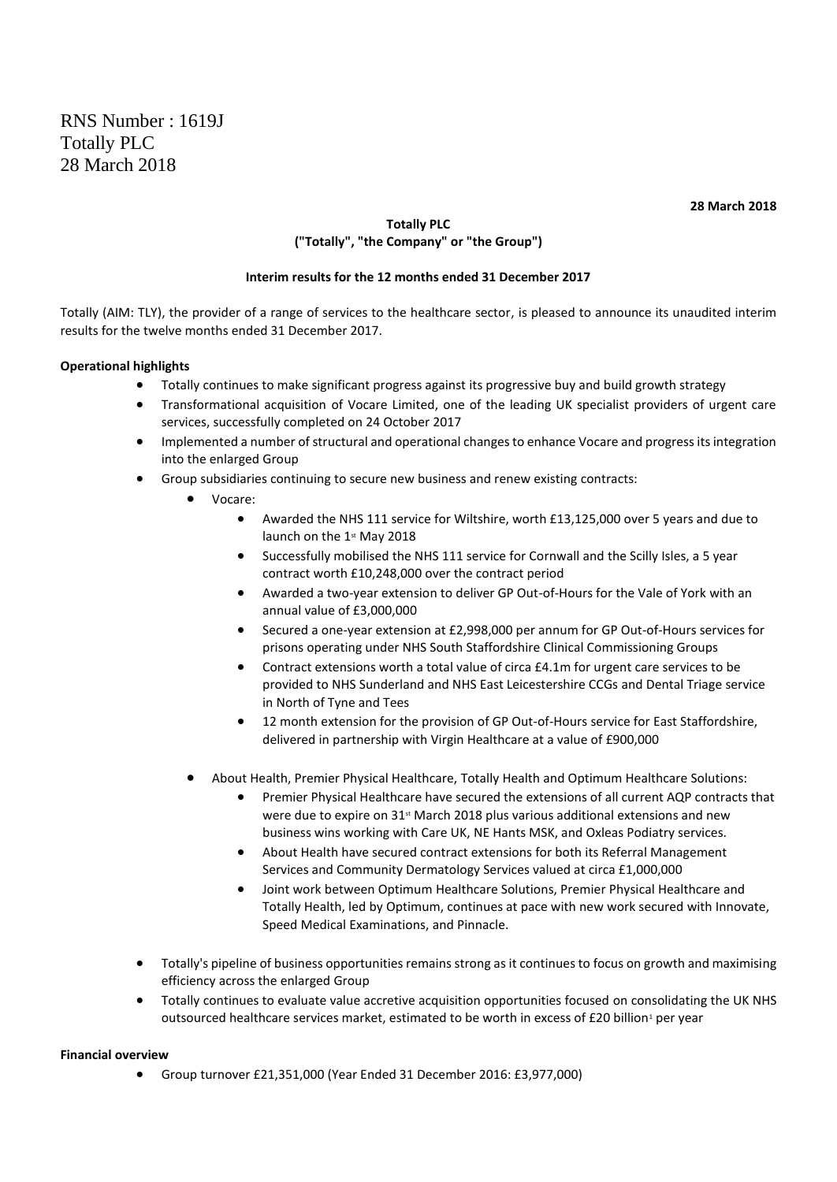**28 March 2018**

# **Totally PLC ("Totally", "the Company" or "the Group")**

# **Interim results for the 12 months ended 31 December 2017**

Totally (AIM: TLY), the provider of a range of services to the healthcare sector, is pleased to announce its unaudited interim results for the twelve months ended 31 December 2017.

# **Operational highlights**

- Totally continues to make significant progress against its progressive buy and build growth strategy
- Transformational acquisition of Vocare Limited, one of the leading UK specialist providers of urgent care services, successfully completed on 24 October 2017
- Implemented a number of structural and operational changes to enhance Vocare and progress its integration into the enlarged Group
- Group subsidiaries continuing to secure new business and renew existing contracts:
	- Vocare:
		- Awarded the NHS 111 service for Wiltshire, worth £13,125,000 over 5 years and due to launch on the 1st May 2018
		- Successfully mobilised the NHS 111 service for Cornwall and the Scilly Isles, a 5 year contract worth £10,248,000 over the contract period
		- Awarded a two-year extension to deliver GP Out-of-Hours for the Vale of York with an annual value of £3,000,000
		- Secured a one-year extension at £2,998,000 per annum for GP Out-of-Hours services for prisons operating under NHS South Staffordshire Clinical Commissioning Groups
		- Contract extensions worth a total value of circa £4.1m for urgent care services to be provided to NHS Sunderland and NHS East Leicestershire CCGs and Dental Triage service in North of Tyne and Tees
		- 12 month extension for the provision of GP Out-of-Hours service for East Staffordshire, delivered in partnership with Virgin Healthcare at a value of £900,000
	- About Health, Premier Physical Healthcare, Totally Health and Optimum Healthcare Solutions:
		- Premier Physical Healthcare have secured the extensions of all current AQP contracts that were due to expire on 31<sup>st</sup> March 2018 plus various additional extensions and new business wins working with Care UK, NE Hants MSK, and Oxleas Podiatry services.
		- About Health have secured contract extensions for both its Referral Management Services and Community Dermatology Services valued at circa £1,000,000
		- Joint work between Optimum Healthcare Solutions, Premier Physical Healthcare and Totally Health, led by Optimum, continues at pace with new work secured with Innovate, Speed Medical Examinations, and Pinnacle.
- Totally's pipeline of business opportunities remains strong as it continues to focus on growth and maximising efficiency across the enlarged Group
- Totally continues to evaluate value accretive acquisition opportunities focused on consolidating the UK NHS outsourced healthcare services market, estimated to be worth in excess of £20 billion<sup>1</sup> per year

### **Financial overview**

• Group turnover £21,351,000 (Year Ended 31 December 2016: £3,977,000)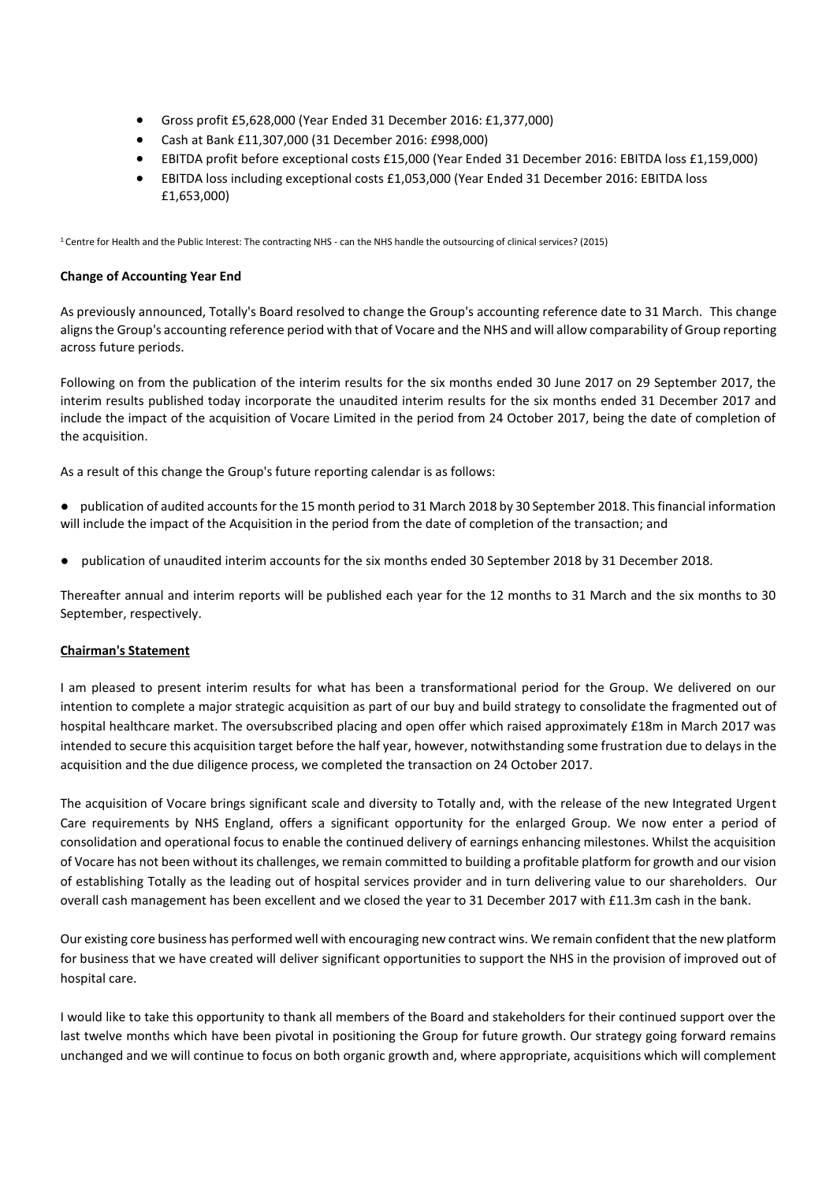- Gross profit £5,628,000 (Year Ended 31 December 2016: £1,377,000)
- Cash at Bank £11,307,000 (31 December 2016: £998,000)
- EBITDA profit before exceptional costs £15,000 (Year Ended 31 December 2016: EBITDA loss £1,159,000)
- EBITDA loss including exceptional costs £1,053,000 (Year Ended 31 December 2016: EBITDA loss £1,653,000)

<sup>1</sup> Centre for Health and the Public Interest: The contracting NHS - can the NHS handle the outsourcing of clinical services? (2015)

## **Change of Accounting Year End**

As previously announced, Totally's Board resolved to change the Group's accounting reference date to 31 March. This change aligns the Group's accounting reference period with that of Vocare and the NHS and will allow comparability of Group reporting across future periods.

Following on from the publication of the interim results for the six months ended 30 June 2017 on 29 September 2017, the interim results published today incorporate the unaudited interim results for the six months ended 31 December 2017 and include the impact of the acquisition of Vocare Limited in the period from 24 October 2017, being the date of completion of the acquisition.

As a result of this change the Group's future reporting calendar is as follows:

- publication of audited accounts for the 15 month period to 31 March 2018 by 30 September 2018. This financial information will include the impact of the Acquisition in the period from the date of completion of the transaction; and
- publication of unaudited interim accounts for the six months ended 30 September 2018 by 31 December 2018.

Thereafter annual and interim reports will be published each year for the 12 months to 31 March and the six months to 30 September, respectively.

### **Chairman's Statement**

I am pleased to present interim results for what has been a transformational period for the Group. We delivered on our intention to complete a major strategic acquisition as part of our buy and build strategy to consolidate the fragmented out of hospital healthcare market. The oversubscribed placing and open offer which raised approximately £18m in March 2017 was intended to secure this acquisition target before the half year, however, notwithstanding some frustration due to delays in the acquisition and the due diligence process, we completed the transaction on 24 October 2017.

The acquisition of Vocare brings significant scale and diversity to Totally and, with the release of the new Integrated Urgent Care requirements by NHS England, offers a significant opportunity for the enlarged Group. We now enter a period of consolidation and operational focus to enable the continued delivery of earnings enhancing milestones. Whilst the acquisition of Vocare has not been without its challenges, we remain committed to building a profitable platform for growth and our vision of establishing Totally as the leading out of hospital services provider and in turn delivering value to our shareholders. Our overall cash management has been excellent and we closed the year to 31 December 2017 with £11.3m cash in the bank.

Our existing core business has performed well with encouraging new contract wins. We remain confident that the new platform for business that we have created will deliver significant opportunities to support the NHS in the provision of improved out of hospital care.

I would like to take this opportunity to thank all members of the Board and stakeholders for their continued support over the last twelve months which have been pivotal in positioning the Group for future growth. Our strategy going forward remains unchanged and we will continue to focus on both organic growth and, where appropriate, acquisitions which will complement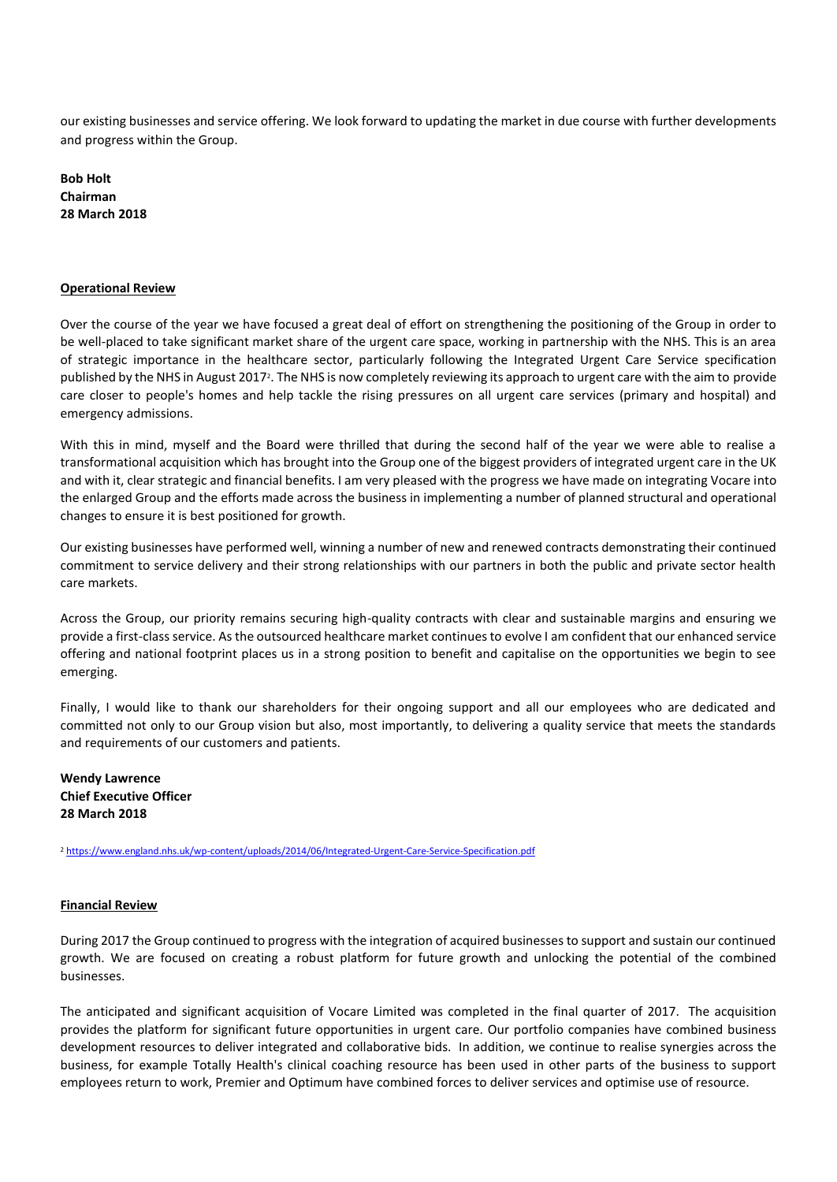our existing businesses and service offering. We look forward to updating the market in due course with further developments and progress within the Group.

**Bob Holt Chairman 28 March 2018**

#### **Operational Review**

Over the course of the year we have focused a great deal of effort on strengthening the positioning of the Group in order to be well-placed to take significant market share of the urgent care space, working in partnership with the NHS. This is an area of strategic importance in the healthcare sector, particularly following the Integrated Urgent Care Service specification published by the NHS in August 2017<sup>2</sup>. The NHS is now completely reviewing its approach to urgent care with the aim to provide care closer to people's homes and help tackle the rising pressures on all urgent care services (primary and hospital) and emergency admissions.

With this in mind, myself and the Board were thrilled that during the second half of the year we were able to realise a transformational acquisition which has brought into the Group one of the biggest providers of integrated urgent care in the UK and with it, clear strategic and financial benefits. I am very pleased with the progress we have made on integrating Vocare into the enlarged Group and the efforts made across the business in implementing a number of planned structural and operational changes to ensure it is best positioned for growth.

Our existing businesses have performed well, winning a number of new and renewed contracts demonstrating their continued commitment to service delivery and their strong relationships with our partners in both the public and private sector health care markets.

Across the Group, our priority remains securing high-quality contracts with clear and sustainable margins and ensuring we provide a first-class service. As the outsourced healthcare market continues to evolve I am confident that our enhanced service offering and national footprint places us in a strong position to benefit and capitalise on the opportunities we begin to see emerging.

Finally, I would like to thank our shareholders for their ongoing support and all our employees who are dedicated and committed not only to our Group vision but also, most importantly, to delivering a quality service that meets the standards and requirements of our customers and patients.

**Wendy Lawrence Chief Executive Officer 28 March 2018**

<sup>2</sup> <https://www.england.nhs.uk/wp-content/uploads/2014/06/Integrated-Urgent-Care-Service-Specification.pdf>

#### **Financial Review**

During 2017 the Group continued to progress with the integration of acquired businesses to support and sustain our continued growth. We are focused on creating a robust platform for future growth and unlocking the potential of the combined businesses.

The anticipated and significant acquisition of Vocare Limited was completed in the final quarter of 2017. The acquisition provides the platform for significant future opportunities in urgent care. Our portfolio companies have combined business development resources to deliver integrated and collaborative bids. In addition, we continue to realise synergies across the business, for example Totally Health's clinical coaching resource has been used in other parts of the business to support employees return to work, Premier and Optimum have combined forces to deliver services and optimise use of resource.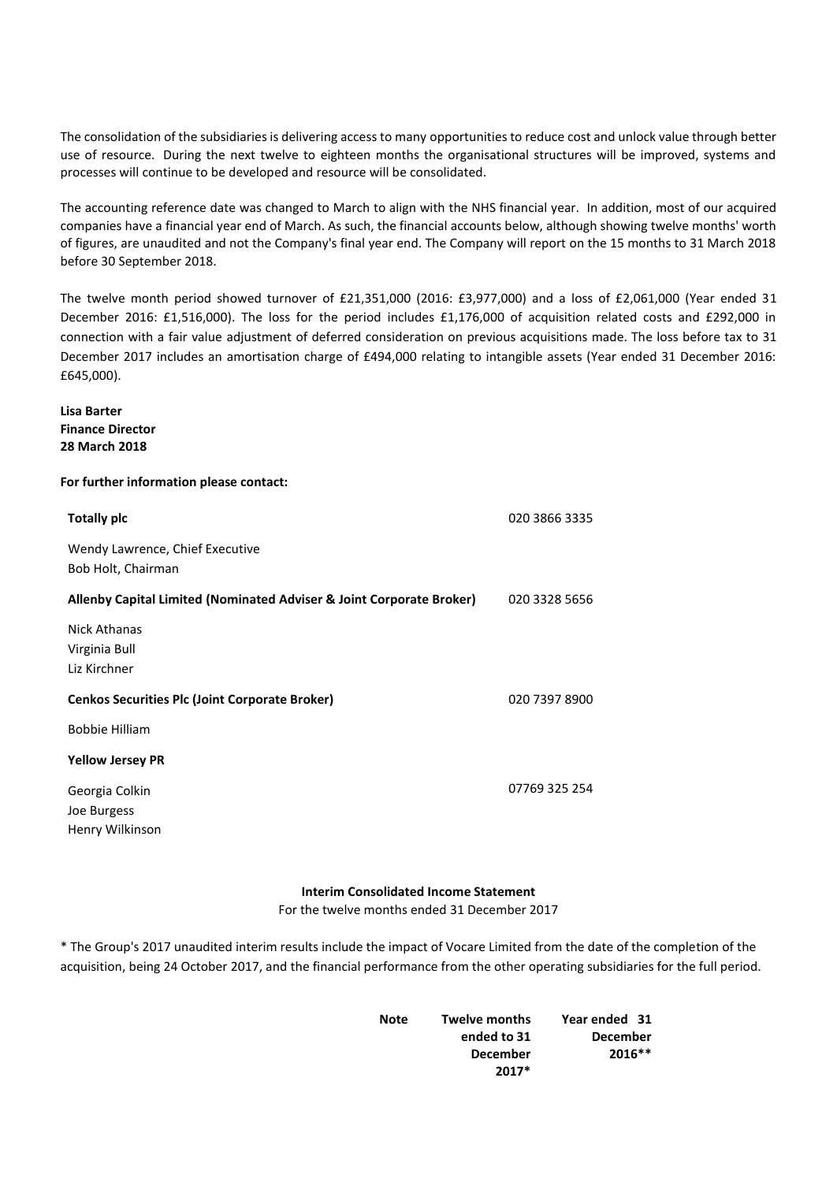The consolidation of the subsidiaries is delivering access to many opportunities to reduce cost and unlock value through better use of resource. During the next twelve to eighteen months the organisational structures will be improved, systems and processes will continue to be developed and resource will be consolidated.

The accounting reference date was changed to March to align with the NHS financial year. In addition, most of our acquired companies have a financial year end of March. As such, the financial accounts below, although showing twelve months' worth of figures, are unaudited and not the Company's final year end. The Company will report on the 15 months to 31 March 2018 before 30 September 2018.

The twelve month period showed turnover of £21,351,000 (2016: £3,977,000) and a loss of £2,061,000 (Year ended 31 December 2016: £1,516,000). The loss for the period includes £1,176,000 of acquisition related costs and £292,000 in connection with a fair value adjustment of deferred consideration on previous acquisitions made. The loss before tax to 31 December 2017 includes an amortisation charge of £494,000 relating to intangible assets (Year ended 31 December 2016: £645,000).

**Lisa Barter Finance Director 28 March 2018**

### **For further information please contact:**

| <b>Totally plc</b>                                                   | 020 3866 3335 |
|----------------------------------------------------------------------|---------------|
| Wendy Lawrence, Chief Executive<br>Bob Holt, Chairman                |               |
| Allenby Capital Limited (Nominated Adviser & Joint Corporate Broker) | 020 3328 5656 |
| Nick Athanas<br>Virginia Bull<br>Liz Kirchner                        |               |
| <b>Cenkos Securities Plc (Joint Corporate Broker)</b>                | 020 7397 8900 |
| <b>Bobbie Hilliam</b>                                                |               |
| <b>Yellow Jersey PR</b>                                              |               |
| Georgia Colkin<br>Joe Burgess<br>Henry Wilkinson                     | 07769 325 254 |

### **Interim Consolidated Income Statement**

For the twelve months ended 31 December 2017

\* The Group's 2017 unaudited interim results include the impact of Vocare Limited from the date of the completion of the acquisition, being 24 October 2017, and the financial performance from the other operating subsidiaries for the full period.

| <b>Note</b> | <b>Twelve months</b> | Year ended 31   |
|-------------|----------------------|-----------------|
|             | ended to 31          | <b>December</b> |
|             | <b>December</b>      | $2016**$        |
|             | $2017*$              |                 |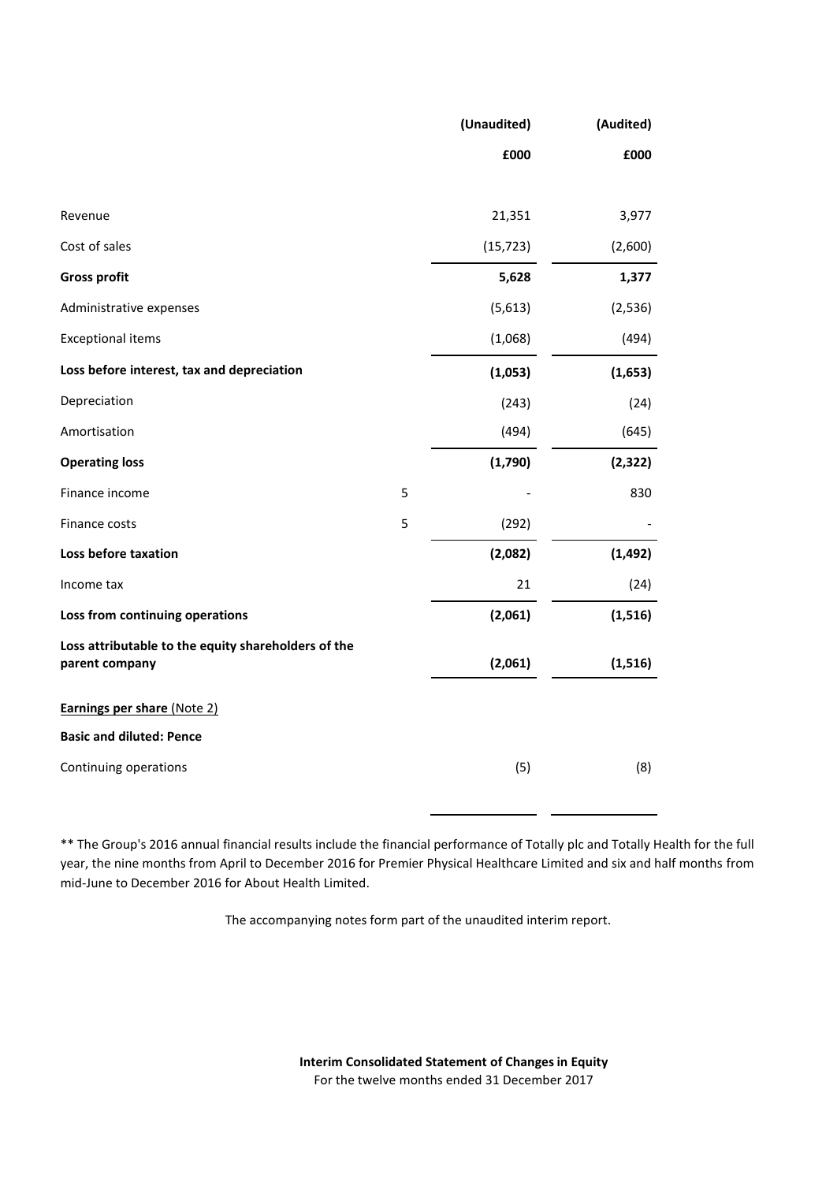|                                                                       |   | (Unaudited) | (Audited) |
|-----------------------------------------------------------------------|---|-------------|-----------|
|                                                                       |   | £000        | £000      |
|                                                                       |   |             |           |
| Revenue                                                               |   | 21,351      | 3,977     |
| Cost of sales                                                         |   | (15, 723)   | (2,600)   |
| <b>Gross profit</b>                                                   |   | 5,628       | 1,377     |
| Administrative expenses                                               |   | (5,613)     | (2,536)   |
| <b>Exceptional items</b>                                              |   | (1,068)     | (494)     |
| Loss before interest, tax and depreciation                            |   | (1,053)     | (1,653)   |
| Depreciation                                                          |   | (243)       | (24)      |
| Amortisation                                                          |   | (494)       | (645)     |
| <b>Operating loss</b>                                                 |   | (1,790)     | (2, 322)  |
| Finance income                                                        | 5 |             | 830       |
| Finance costs                                                         | 5 | (292)       |           |
| Loss before taxation                                                  |   | (2,082)     | (1, 492)  |
| Income tax                                                            |   | 21          | (24)      |
| Loss from continuing operations                                       |   | (2,061)     | (1,516)   |
| Loss attributable to the equity shareholders of the<br>parent company |   | (2,061)     | (1, 516)  |
| <b>Earnings per share (Note 2)</b>                                    |   |             |           |
| <b>Basic and diluted: Pence</b>                                       |   |             |           |
| Continuing operations                                                 |   | (5)         | (8)       |

\*\* The Group's 2016 annual financial results include the financial performance of Totally plc and Totally Health for the full year, the nine months from April to December 2016 for Premier Physical Healthcare Limited and six and half months from mid-June to December 2016 for About Health Limited.

The accompanying notes form part of the unaudited interim report.

**Interim Consolidated Statement of Changesin Equity** For the twelve months ended 31 December 2017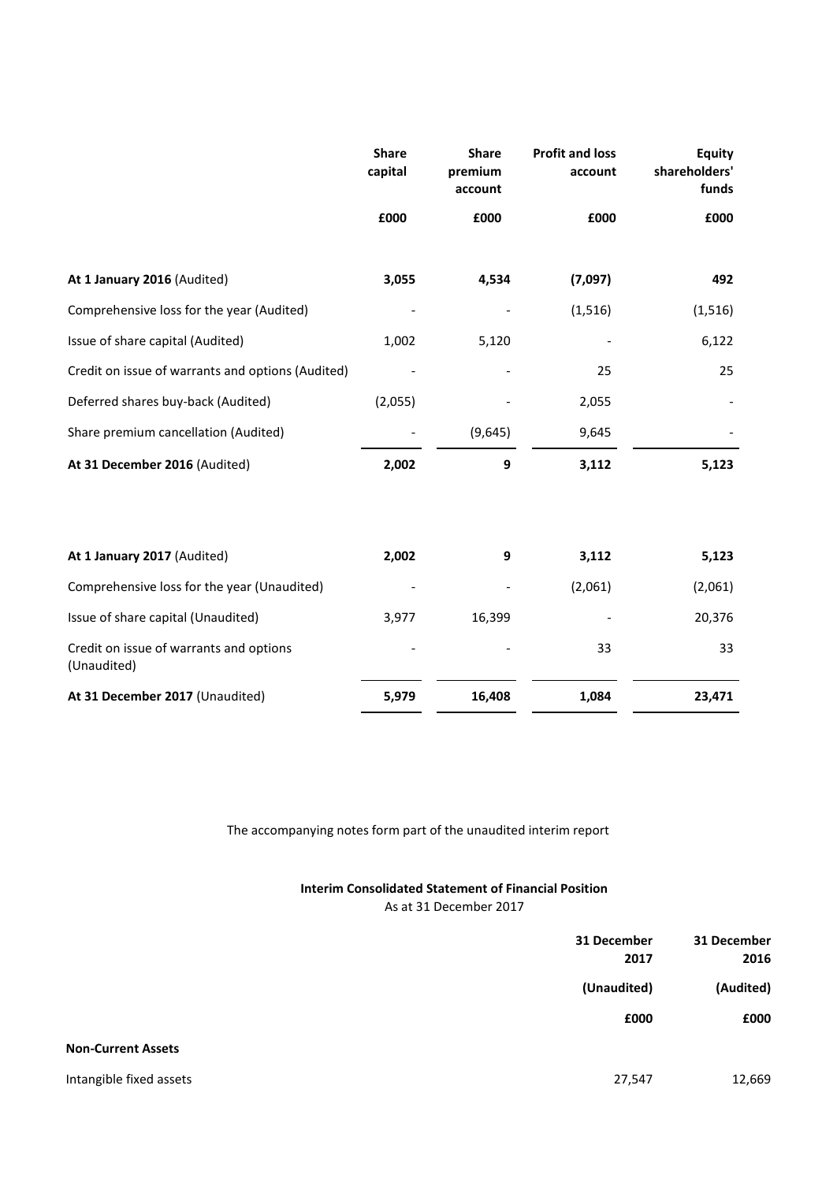|                                                        | <b>Share</b><br>capital | <b>Share</b><br>premium<br>account | <b>Profit and loss</b><br>account | <b>Equity</b><br>shareholders'<br>funds |
|--------------------------------------------------------|-------------------------|------------------------------------|-----------------------------------|-----------------------------------------|
|                                                        | £000                    | £000                               | £000                              | £000                                    |
| At 1 January 2016 (Audited)                            | 3,055                   | 4,534                              | (7,097)                           | 492                                     |
| Comprehensive loss for the year (Audited)              |                         |                                    | (1, 516)                          | (1, 516)                                |
| Issue of share capital (Audited)                       | 1,002                   | 5,120                              |                                   | 6,122                                   |
| Credit on issue of warrants and options (Audited)      |                         |                                    | 25                                | 25                                      |
| Deferred shares buy-back (Audited)                     | (2,055)                 |                                    | 2,055                             |                                         |
| Share premium cancellation (Audited)                   |                         | (9,645)                            | 9,645                             |                                         |
| At 31 December 2016 (Audited)                          | 2,002                   | 9                                  | 3,112                             | 5,123                                   |
| At 1 January 2017 (Audited)                            | 2,002                   | 9                                  | 3,112                             | 5,123                                   |
| Comprehensive loss for the year (Unaudited)            |                         |                                    | (2,061)                           | (2,061)                                 |
| Issue of share capital (Unaudited)                     | 3,977                   | 16,399                             |                                   | 20,376                                  |
| Credit on issue of warrants and options<br>(Unaudited) |                         |                                    | 33                                | 33                                      |
| At 31 December 2017 (Unaudited)                        | 5,979                   | 16,408                             | 1,084                             | 23,471                                  |

The accompanying notes form part of the unaudited interim report

# **Interim Consolidated Statement of Financial Position** As at 31 December 2017

|                           | 31 December<br>2017 | 31 December<br>2016 |
|---------------------------|---------------------|---------------------|
|                           | (Unaudited)         | (Audited)           |
|                           | £000                | £000                |
| <b>Non-Current Assets</b> |                     |                     |
| Intangible fixed assets   | 27,547              | 12,669              |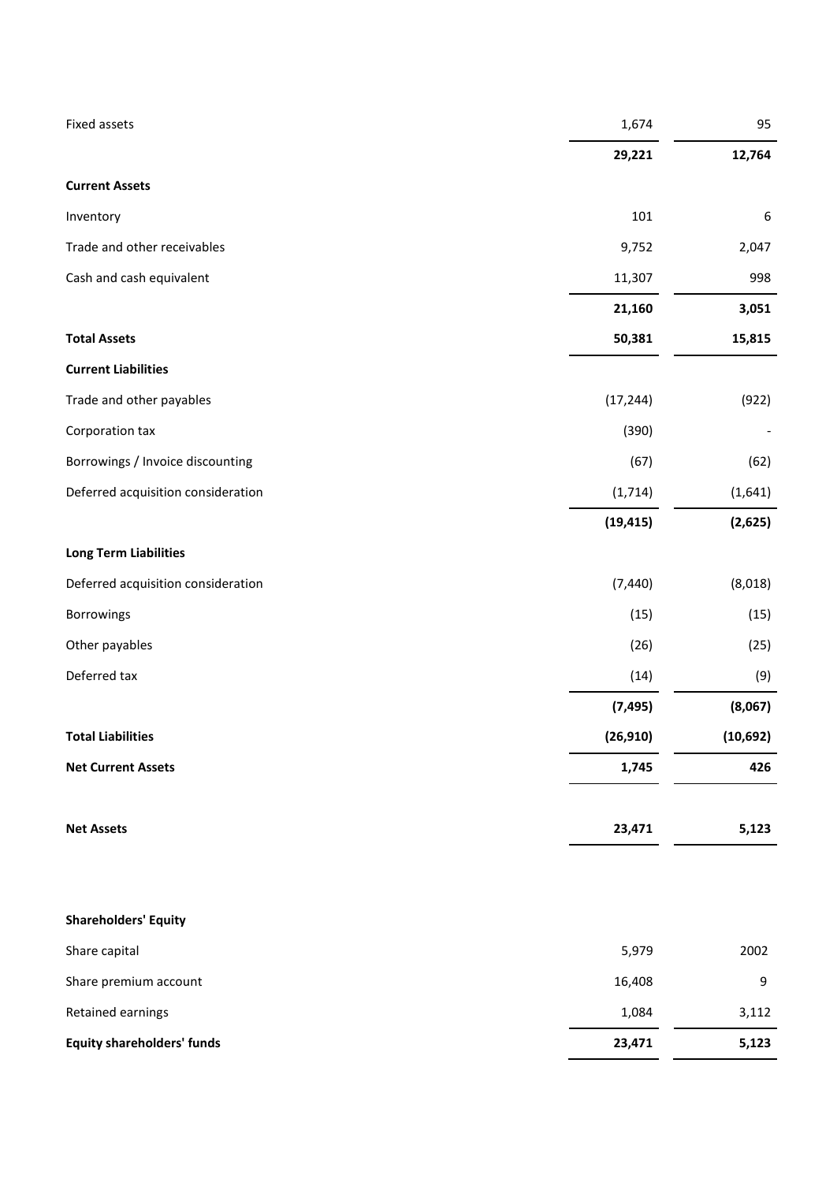| Fixed assets                       | 1,674     | 95        |
|------------------------------------|-----------|-----------|
|                                    | 29,221    | 12,764    |
| <b>Current Assets</b>              |           |           |
| Inventory                          | 101       | 6         |
| Trade and other receivables        | 9,752     | 2,047     |
| Cash and cash equivalent           | 11,307    | 998       |
|                                    | 21,160    | 3,051     |
| <b>Total Assets</b>                | 50,381    | 15,815    |
| <b>Current Liabilities</b>         |           |           |
| Trade and other payables           | (17, 244) | (922)     |
| Corporation tax                    | (390)     |           |
| Borrowings / Invoice discounting   | (67)      | (62)      |
| Deferred acquisition consideration | (1,714)   | (1,641)   |
|                                    | (19, 415) | (2,625)   |
| <b>Long Term Liabilities</b>       |           |           |
| Deferred acquisition consideration | (7, 440)  | (8,018)   |
| Borrowings                         | (15)      | (15)      |
| Other payables                     | (26)      | (25)      |
| Deferred tax                       | (14)      | (9)       |
|                                    | (7, 495)  | (8,067)   |
| <b>Total Liabilities</b>           | (26, 910) | (10, 692) |
| <b>Net Current Assets</b>          | 1,745     | 426       |
|                                    |           |           |
| <b>Net Assets</b>                  | 23,471    | 5,123     |
|                                    |           |           |
| <b>Shareholders' Equity</b>        |           |           |
| Share capital                      | 5,979     | 2002      |
| Share premium account              | 16,408    | 9         |
| Retained earnings                  | 1,084     | 3,112     |
| <b>Equity shareholders' funds</b>  | 23,471    | 5,123     |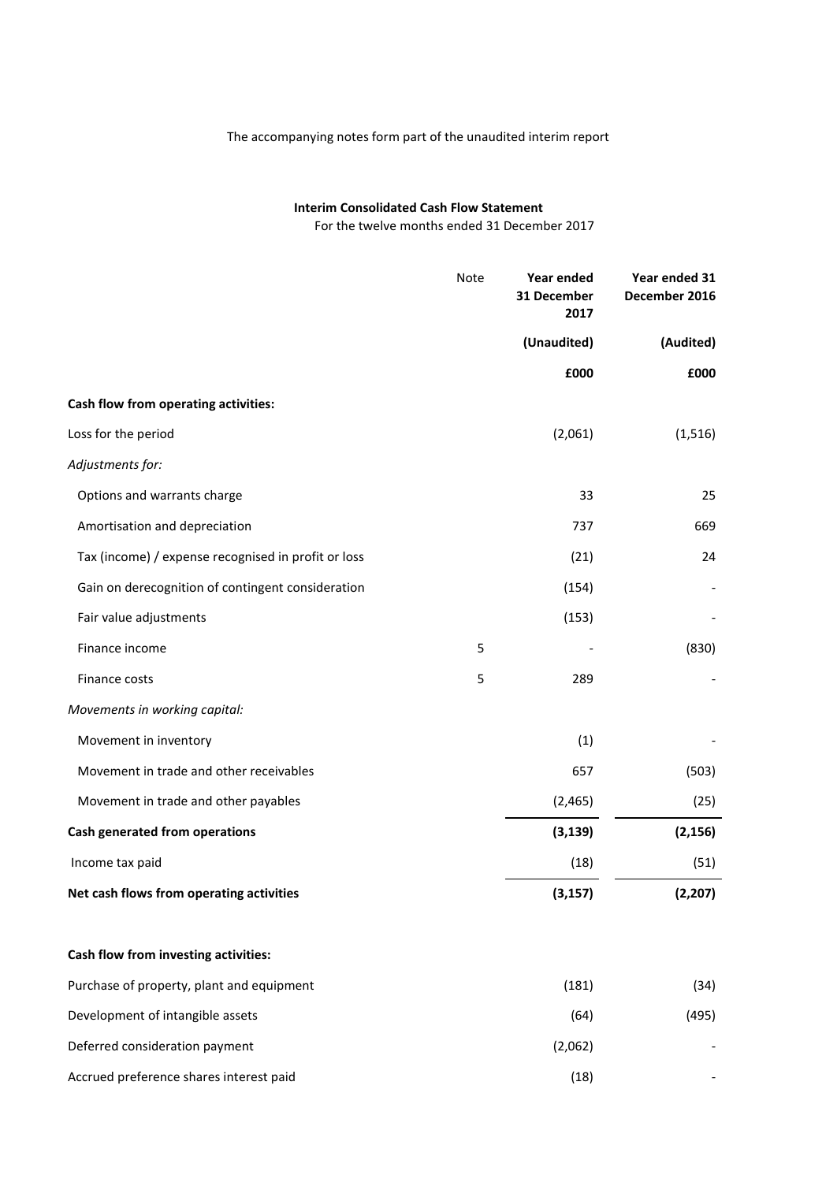# The accompanying notes form part of the unaudited interim report

# **Interim Consolidated Cash Flow Statement**

For the twelve months ended 31 December 2017

|                                                     | Note | Year ended<br>31 December<br>2017 | Year ended 31<br>December 2016 |
|-----------------------------------------------------|------|-----------------------------------|--------------------------------|
|                                                     |      | (Unaudited)                       | (Audited)                      |
|                                                     |      | £000                              | £000                           |
| Cash flow from operating activities:                |      |                                   |                                |
| Loss for the period                                 |      | (2,061)                           | (1, 516)                       |
| Adjustments for:                                    |      |                                   |                                |
| Options and warrants charge                         |      | 33                                | 25                             |
| Amortisation and depreciation                       |      | 737                               | 669                            |
| Tax (income) / expense recognised in profit or loss |      | (21)                              | 24                             |
| Gain on derecognition of contingent consideration   |      | (154)                             |                                |
| Fair value adjustments                              |      | (153)                             |                                |
| Finance income                                      | 5    |                                   | (830)                          |
| Finance costs                                       | 5    | 289                               |                                |
| Movements in working capital:                       |      |                                   |                                |
| Movement in inventory                               |      | (1)                               |                                |
| Movement in trade and other receivables             |      | 657                               | (503)                          |
| Movement in trade and other payables                |      | (2, 465)                          | (25)                           |
| Cash generated from operations                      |      | (3, 139)                          | (2, 156)                       |
| Income tax paid                                     |      | (18)                              | (51)                           |
| Net cash flows from operating activities            |      | (3, 157)                          | (2, 207)                       |
| Cash flow from investing activities:                |      |                                   |                                |
| Purchase of property, plant and equipment           |      | (181)                             | (34)                           |
| Development of intangible assets                    |      | (64)                              | (495)                          |
| Deferred consideration payment                      |      | (2,062)                           |                                |
| Accrued preference shares interest paid             |      | (18)                              |                                |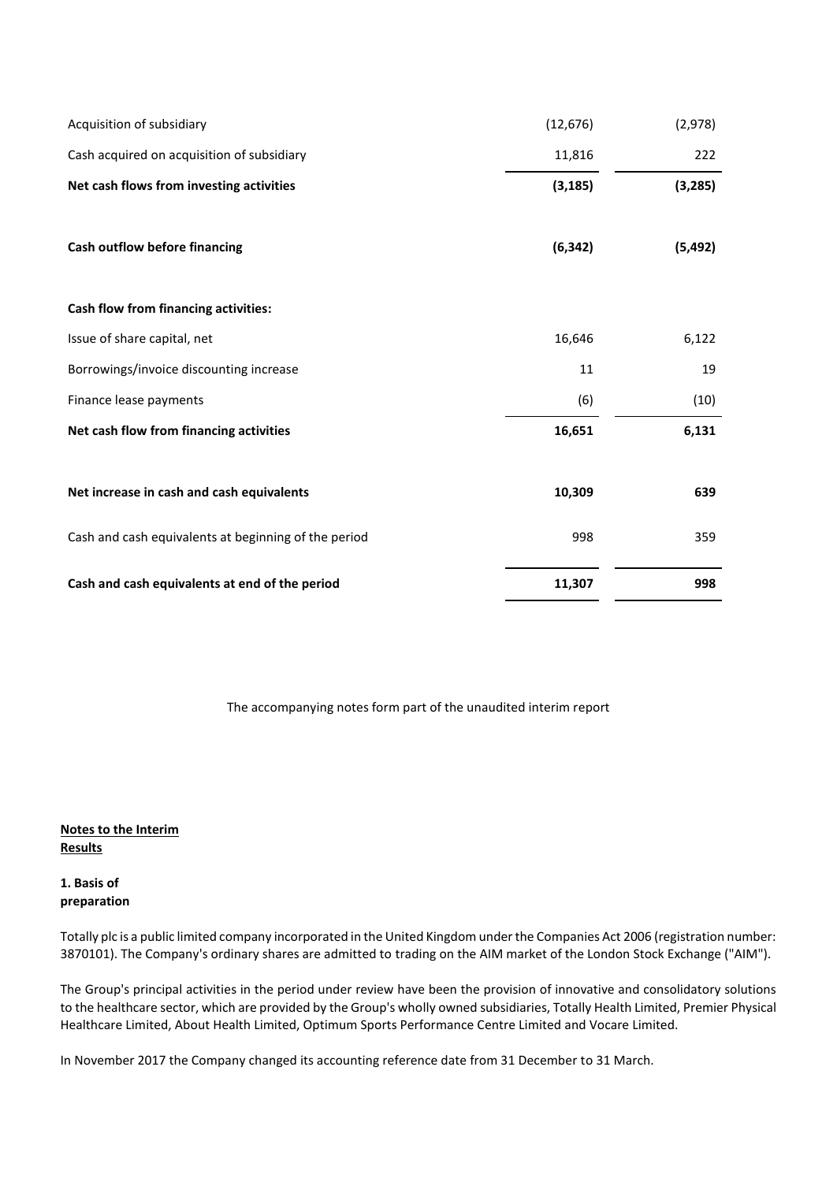| Acquisition of subsidiary                            | (12, 676) | (2,978)  |
|------------------------------------------------------|-----------|----------|
| Cash acquired on acquisition of subsidiary           | 11,816    | 222      |
| Net cash flows from investing activities             | (3, 185)  | (3, 285) |
| Cash outflow before financing                        | (6, 342)  | (5, 492) |
|                                                      |           |          |
| Cash flow from financing activities:                 |           |          |
| Issue of share capital, net                          | 16,646    | 6,122    |
| Borrowings/invoice discounting increase              | 11        | 19       |
| Finance lease payments                               | (6)       | (10)     |
| Net cash flow from financing activities              | 16,651    | 6,131    |
|                                                      |           |          |
| Net increase in cash and cash equivalents            | 10,309    | 639      |
| Cash and cash equivalents at beginning of the period | 998       | 359      |
| Cash and cash equivalents at end of the period       | 11,307    | 998      |

The accompanying notes form part of the unaudited interim report

**Notes to the Interim Results**

# **1. Basis of preparation**

Totally plc is a public limited company incorporated in the United Kingdom under the Companies Act 2006 (registration number: 3870101). The Company's ordinary shares are admitted to trading on the AIM market of the London Stock Exchange ("AIM").

The Group's principal activities in the period under review have been the provision of innovative and consolidatory solutions to the healthcare sector, which are provided by the Group's wholly owned subsidiaries, Totally Health Limited, Premier Physical Healthcare Limited, About Health Limited, Optimum Sports Performance Centre Limited and Vocare Limited.

In November 2017 the Company changed its accounting reference date from 31 December to 31 March.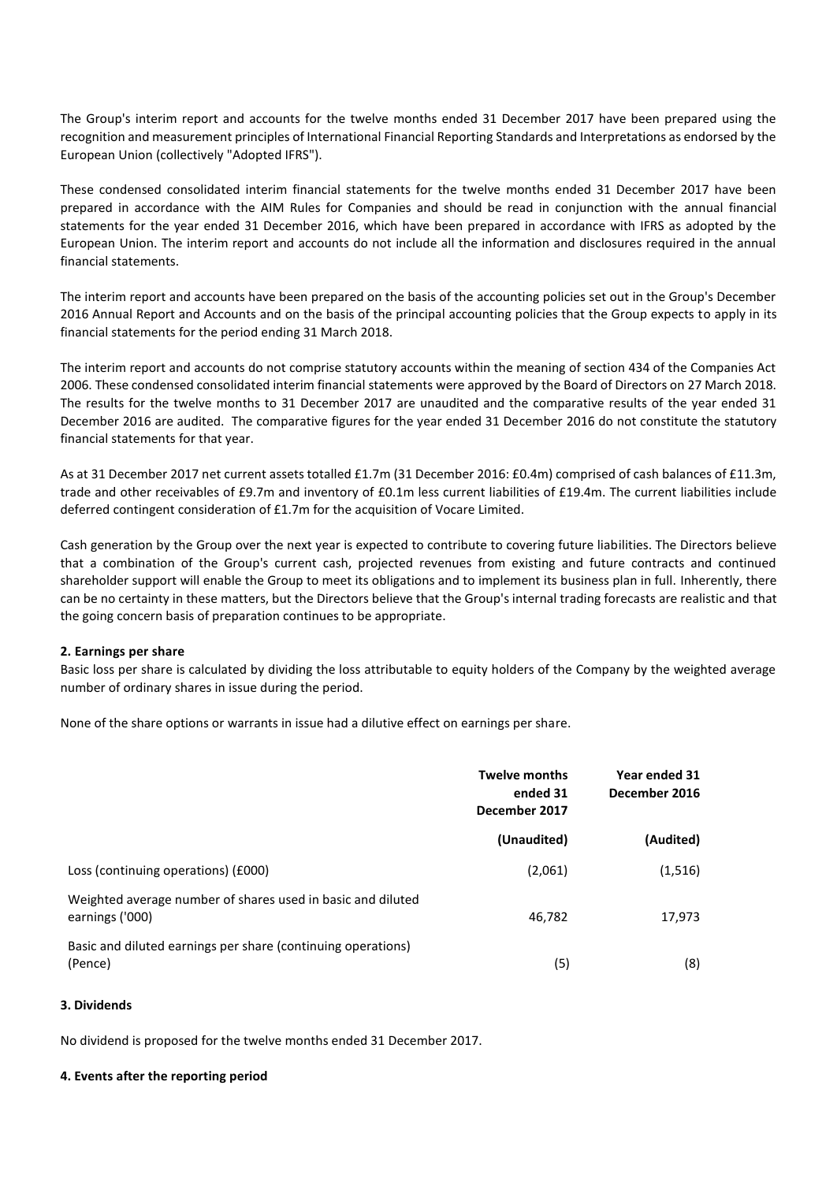The Group's interim report and accounts for the twelve months ended 31 December 2017 have been prepared using the recognition and measurement principles of International Financial Reporting Standards and Interpretations as endorsed by the European Union (collectively "Adopted IFRS").

These condensed consolidated interim financial statements for the twelve months ended 31 December 2017 have been prepared in accordance with the AIM Rules for Companies and should be read in conjunction with the annual financial statements for the year ended 31 December 2016, which have been prepared in accordance with IFRS as adopted by the European Union. The interim report and accounts do not include all the information and disclosures required in the annual financial statements.

The interim report and accounts have been prepared on the basis of the accounting policies set out in the Group's December 2016 Annual Report and Accounts and on the basis of the principal accounting policies that the Group expects to apply in its financial statements for the period ending 31 March 2018.

The interim report and accounts do not comprise statutory accounts within the meaning of section 434 of the Companies Act 2006. These condensed consolidated interim financial statements were approved by the Board of Directors on 27 March 2018. The results for the twelve months to 31 December 2017 are unaudited and the comparative results of the year ended 31 December 2016 are audited. The comparative figures for the year ended 31 December 2016 do not constitute the statutory financial statements for that year.

As at 31 December 2017 net current assets totalled £1.7m (31 December 2016: £0.4m) comprised of cash balances of £11.3m, trade and other receivables of £9.7m and inventory of £0.1m less current liabilities of £19.4m. The current liabilities include deferred contingent consideration of £1.7m for the acquisition of Vocare Limited.

Cash generation by the Group over the next year is expected to contribute to covering future liabilities. The Directors believe that a combination of the Group's current cash, projected revenues from existing and future contracts and continued shareholder support will enable the Group to meet its obligations and to implement its business plan in full. Inherently, there can be no certainty in these matters, but the Directors believe that the Group's internal trading forecasts are realistic and that the going concern basis of preparation continues to be appropriate.

### **2. Earnings per share**

Basic loss per share is calculated by dividing the loss attributable to equity holders of the Company by the weighted average number of ordinary shares in issue during the period.

None of the share options or warrants in issue had a dilutive effect on earnings per share.

|                                                                                | <b>Twelve months</b><br>ended 31<br>December 2017 | Year ended 31<br>December 2016 |  |
|--------------------------------------------------------------------------------|---------------------------------------------------|--------------------------------|--|
|                                                                                | (Unaudited)                                       | (Audited)                      |  |
| Loss (continuing operations) (£000)                                            | (2,061)                                           | (1,516)                        |  |
| Weighted average number of shares used in basic and diluted<br>earnings ('000) | 46,782                                            | 17,973                         |  |
| Basic and diluted earnings per share (continuing operations)<br>(Pence)        | (5)                                               | (8)                            |  |

### **3. Dividends**

No dividend is proposed for the twelve months ended 31 December 2017.

#### **4. Events after the reporting period**